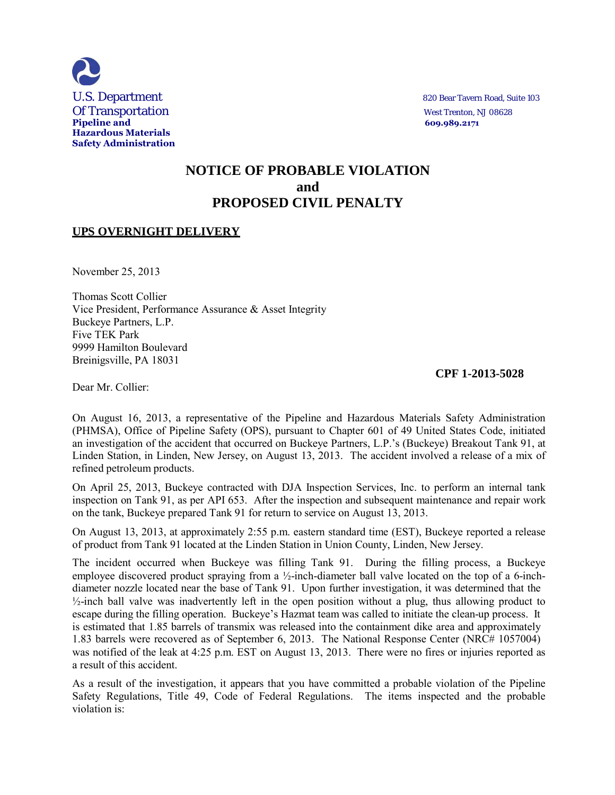

# **NOTICE OF PROBABLE VIOLATION and PROPOSED CIVIL PENALTY**

## **UPS OVERNIGHT DELIVERY**

November 25, 2013

Thomas Scott Collier Vice President, Performance Assurance & Asset Integrity Buckeye Partners, L.P. Five TEK Park 9999 Hamilton Boulevard Breinigsville, PA 18031

### **CPF 1-2013-5028**

Dear Mr. Collier:

On August 16, 2013, a representative of the Pipeline and Hazardous Materials Safety Administration (PHMSA), Office of Pipeline Safety (OPS), pursuant to Chapter 601 of 49 United States Code, initiated an investigation of the accident that occurred on Buckeye Partners, L.P.'s (Buckeye) Breakout Tank 91, at Linden Station, in Linden, New Jersey, on August 13, 2013. The accident involved a release of a mix of refined petroleum products.

On April 25, 2013, Buckeye contracted with DJA Inspection Services, Inc. to perform an internal tank inspection on Tank 91, as per API 653. After the inspection and subsequent maintenance and repair work on the tank, Buckeye prepared Tank 91 for return to service on August 13, 2013.

On August 13, 2013, at approximately 2:55 p.m. eastern standard time (EST), Buckeye reported a release of product from Tank 91 located at the Linden Station in Union County, Linden, New Jersey.

The incident occurred when Buckeye was filling Tank 91. During the filling process, a Buckeye employee discovered product spraying from a ½-inch-diameter ball valve located on the top of a 6-inchdiameter nozzle located near the base of Tank 91. Upon further investigation, it was determined that the  $\frac{1}{2}$ -inch ball valve was inadvertently left in the open position without a plug, thus allowing product to escape during the filling operation. Buckeye's Hazmat team was called to initiate the clean-up process. It is estimated that 1.85 barrels of transmix was released into the containment dike area and approximately 1.83 barrels were recovered as of September 6, 2013. The National Response Center (NRC# 1057004) was notified of the leak at 4:25 p.m. EST on August 13, 2013. There were no fires or injuries reported as a result of this accident.

As a result of the investigation, it appears that you have committed a probable violation of the Pipeline Safety Regulations, Title 49, Code of Federal Regulations. The items inspected and the probable violation is: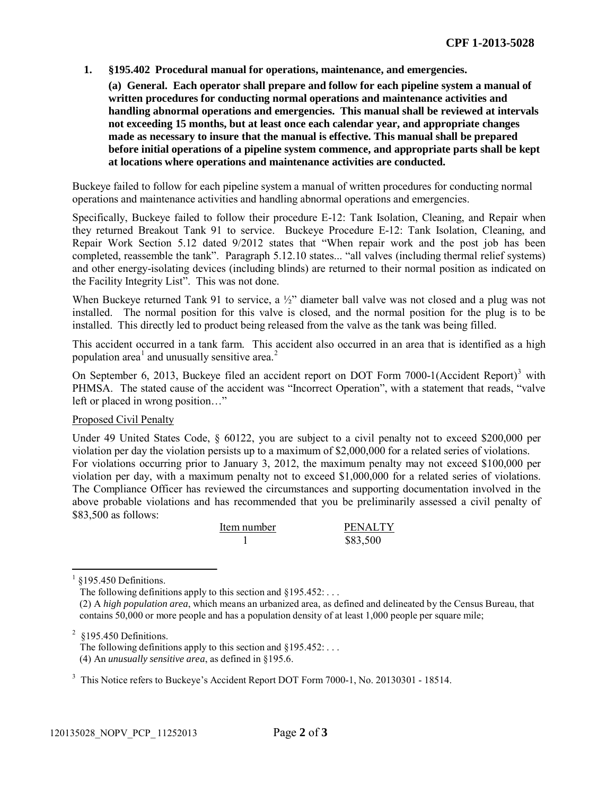**1. §195.402 Procedural manual for operations, maintenance, and emergencies.**

**(a) General. Each operator shall prepare and follow for each pipeline system a manual of written procedures for conducting normal operations and maintenance activities and handling abnormal operations and emergencies. This manual shall be reviewed at intervals not exceeding 15 months, but at least once each calendar year, and appropriate changes made as necessary to insure that the manual is effective. This manual shall be prepared before initial operations of a pipeline system commence, and appropriate parts shall be kept at locations where operations and maintenance activities are conducted.**

Buckeye failed to follow for each pipeline system a manual of written procedures for conducting normal operations and maintenance activities and handling abnormal operations and emergencies.

Specifically, Buckeye failed to follow their procedure E-12: Tank Isolation, Cleaning, and Repair when they returned Breakout Tank 91 to service. Buckeye Procedure E-12: Tank Isolation, Cleaning, and Repair Work Section 5.12 dated 9/2012 states that "When repair work and the post job has been completed, reassemble the tank". Paragraph 5.12.10 states... "all valves (including thermal relief systems) and other energy-isolating devices (including blinds) are returned to their normal position as indicated on the Facility Integrity List". This was not done.

When Buckeye returned Tank 91 to service, a  $\frac{1}{2}$ " diameter ball valve was not closed and a plug was not installed. The normal position for this valve is closed, and the normal position for the plug is to be installed. This directly led to product being released from the valve as the tank was being filled.

This accident occurred in a tank farm. This accident also occurred in an area that is identified as a high population area<sup>1</sup> and unusually sensitive area.<sup>2</sup>

On September 6, 2013, Buckeye filed an accident report on DOT Form 7000-1(Accident Report)<sup>3</sup> with PHMSA. The stated cause of the accident was "Incorrect Operation", with a statement that reads, "valve left or placed in wrong position…"

### Proposed Civil Penalty

Under 49 United States Code, § 60122, you are subject to a civil penalty not to exceed \$200,000 per violation per day the violation persists up to a maximum of \$2,000,000 for a related series of violations. For violations occurring prior to January 3, 2012, the maximum penalty may not exceed \$100,000 per violation per day, with a maximum penalty not to exceed \$1,000,000 for a related series of violations. The Compliance Officer has reviewed the circumstances and supporting documentation involved in the above probable violations and has recommended that you be preliminarily assessed a civil penalty of \$83,500 as follows:

| Item number | <b>PENALTY</b> |
|-------------|----------------|
|             | \$83,500       |

1 §195.450 Definitions.

The following definitions apply to this section and  $§195.452$ : ...

(2) A *high population area*, which means an urbanized area, as defined and delineated by the Census Bureau, that contains 50,000 or more people and has a population density of at least 1,000 people per square mile;

 $2$  §195.450 Definitions.

The following definitions apply to this section and  $§195.452$ : ... (4) An *unusually sensitive area*, as defined in §195.6.

<sup>3</sup> This Notice refers to Buckeye's Accident Report DOT Form 7000-1, No. 20130301 - 18514.